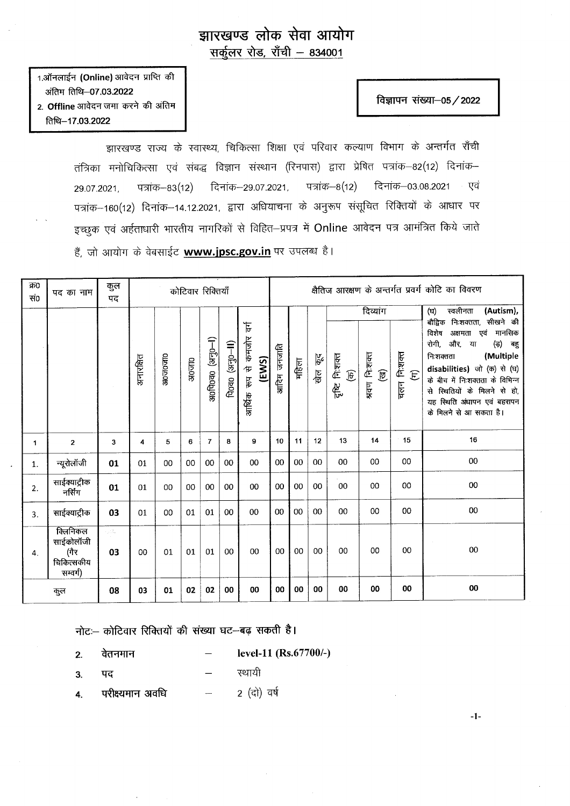## झारखण्ड लोक सेवा आयोग<br>सर्कुलर रोड, राँची – 834001

1.ऑनलाईन (Online) आवेदन प्राप्ति की 3ffir fan-07.03.2022 2. Offline आवेदन जमा करने की अंतिम faia-17.03.2022

## विज्ञापन संख्या-05 / 2022

=1:

झारखण्ड राज्य के स्वास्थ्य, चिकित्सा शिक्षा एवं परिवार कल्याण विभाग के अन्तर्गत राँची तंत्रिका मनोचिकित्सा एवं संबद्ध विज्ञान संस्थान (रिनपास) द्वारा प्रेषित पत्रांक—82(12) दिनांक— 29.07.2021, पत्रांक–83(12) दिनांक–29.07.2021, पत्रांक–8(12) दिनांक–03.08.2021 एवं पत्रांक–160(12) दिनांक–14.12.2021, द्वारा अधियाचना के अनुरूप संसूचित रिक्तियों के आधार पर इच्छुक एवं अर्हताधारी भारतीय नागरिकों से विहित-प्रपत्र में Online आवेदन पत्र आमंत्रित किये जाते हैं, जो आयोग के वेबसाईट www.jpsc.gov.in पर उपलब्ध है।

| क्र0<br>सं० | पद का नाम                                               | कुल<br>पद        | कोटिवार रिक्तियाँ |         |                    |                   |                                                                                        | क्षैतिज आरक्षण के अन्तर्गत प्रवर्ग कोटि का विवरण        |            |       |                              |                                          |                    |                                       |                                                                                                                                                                                                                                                                                   |
|-------------|---------------------------------------------------------|------------------|-------------------|---------|--------------------|-------------------|----------------------------------------------------------------------------------------|---------------------------------------------------------|------------|-------|------------------------------|------------------------------------------|--------------------|---------------------------------------|-----------------------------------------------------------------------------------------------------------------------------------------------------------------------------------------------------------------------------------------------------------------------------------|
|             |                                                         |                  |                   |         |                    |                   |                                                                                        |                                                         |            |       |                              |                                          | दिव्यांग           |                                       | स्वलीनता<br>(Autism),<br>(ঘ)                                                                                                                                                                                                                                                      |
|             |                                                         |                  | अनारक्षित         | अ0ज0जा0 | 30 <sub>2</sub> 10 | $(1-0ER)$ oracles | $\mathsf{A}$ oao $(\mathsf{a} \mathsf{b} \mathsf{b} \mathsf{b} \mathsf{b} \mathsf{b})$ | $\overline{\mathbb{F}}$<br>आर्थिक रूप से कमजोर<br>(EWS) | आदिम जनजति | महिला | $\frac{\beta}{\beta}$<br>खेल | निःशक्त<br>$\widehat{\mathbb{E}}$<br>हीट | श्रवण नि:शक्त<br>匣 | चलन निःशक्त<br>$\widehat{\mathbf{E}}$ | बौद्विक<br>निःशक्तता, सीखने की<br>विशेष<br>मानसिक<br>अक्षमता एवं<br>रोगी, और, या<br>(ड़) बहु<br>(Multiple<br>निःशक्तता<br>disabilities) जो (क) से (घ)<br>के बीच में निःशक्तता के विभिन्न<br>से स्थितियों के मिलने से हो,<br>यह स्थिति अंधापन एवं बहरापन<br>के मिलने से आ सकता है। |
| 1           | $\mathbf{2}$                                            | 3                | 4                 | 5       | 6                  | $\overline{7}$    | 8                                                                                      | 9                                                       | 10         | 11    | 12                           | 13                                       | 14                 | 15                                    | 16                                                                                                                                                                                                                                                                                |
| 1.          | न्यूरोलॉजी                                              | 01               | 01                | 00      | 00                 | 00                | 00                                                                                     | 00                                                      | 00         | 00    | 00                           | 00                                       | 00                 | 00                                    | 00                                                                                                                                                                                                                                                                                |
| 2.          | साईक्याट्रीक<br>नर्सिंग                                 | 01               | 01                | 00      | 00                 | 00                | 00                                                                                     | 00                                                      | 00         | 00    | 00                           | 00                                       | 00                 | 00                                    | 00                                                                                                                                                                                                                                                                                |
| 3.          | साईक्याट्रीक                                            | 03               | 01                | 00      | 01                 | 01                | 00                                                                                     | $00\,$                                                  | 00         | 00    | 00                           | 00                                       | 00                 | 00                                    | 00                                                                                                                                                                                                                                                                                |
| 4.          | क्लिनिकल<br>साईकोलॉजी<br>(गैर<br>चिकित्सकीय<br>सम्वर्ग) | $\sim 1\%$<br>03 | 00                | 01      | 01                 | 01                | 00                                                                                     | 00                                                      | 00         | 00    | 00                           | 00                                       | 00                 | 00                                    | 00                                                                                                                                                                                                                                                                                |
|             | कुल                                                     | 08               | 03                | 01      | 02                 | 02                | 00                                                                                     | 00                                                      | 00         | 00    | 00                           | 00                                       | 00                 | 00                                    | 00                                                                                                                                                                                                                                                                                |

नोट:-- कोटिवार रिक्तियों की संख्या घट-बढ़ सकती है।

- 2. वेतनमान  $-$  level-11 (Rs.67700/-)
- 3. पद स्थायी
- 4. परीक्ष्यमान अवधि 2 (दो) वर्ष  $\overline{\phantom{a}}$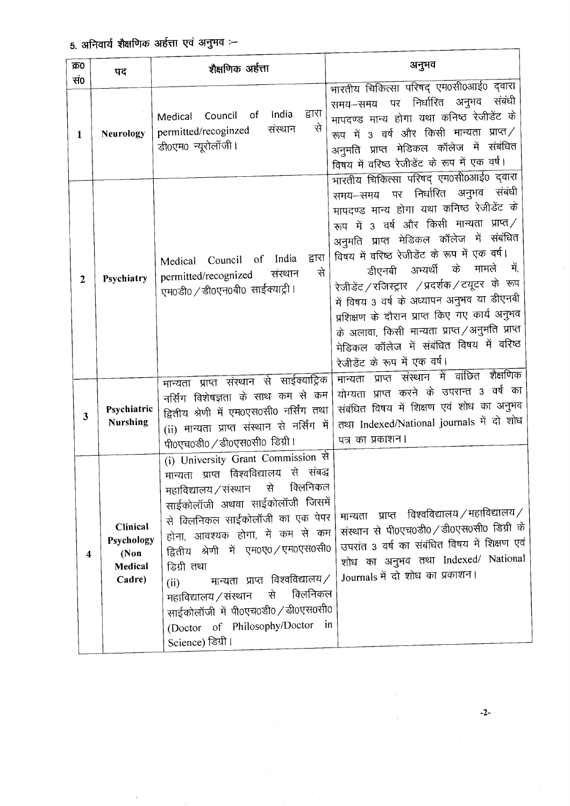| क्र0<br>सं०    | पद                                                  | शैक्षणिक अर्हत्ता                                                                                                                                                                                                                                                                                                                                                                                                                                                                      | अनुभव                                                                                                                                                                                                                                                                                                                                                                                                                                                                                                                                                                                                                                                 |
|----------------|-----------------------------------------------------|----------------------------------------------------------------------------------------------------------------------------------------------------------------------------------------------------------------------------------------------------------------------------------------------------------------------------------------------------------------------------------------------------------------------------------------------------------------------------------------|-------------------------------------------------------------------------------------------------------------------------------------------------------------------------------------------------------------------------------------------------------------------------------------------------------------------------------------------------------------------------------------------------------------------------------------------------------------------------------------------------------------------------------------------------------------------------------------------------------------------------------------------------------|
| $\mathbf{1}$   | Neurology                                           | द्वारा<br>India<br>Council<br>оf<br>Medical<br>से<br>संस्थान<br>permitted/recoginzed<br>डी0एम0 न्यूरोलॉजी।                                                                                                                                                                                                                                                                                                                                                                             | मारतीय चिकित्सा परिषद् एम0सी0आई0 द्वारा<br>संबंधी<br>निर्धारित अनुभव<br>पर<br>समय-समय<br>मापदण्ड मान्य होगा यथा कनिष्ठ रेजीडेंट के<br>रूप में 3 वर्ष और किसी मान्यता प्राप्त /<br>अनुमति प्राप्त मेडिकल कॉलेज में संबंधित<br>विषय में वरिष्ठ रेजीडेंट के रूप में एक वर्ष।                                                                                                                                                                                                                                                                                                                                                                             |
| $\overline{2}$ | Psychiatry                                          | द्वारा<br>India<br>$\circ$ of<br>Council<br>Medical<br>से<br>संस्थान<br>permitted/recognized<br>एम0डी0 / डी0एन0बी0 साईक्याट्री।<br>प्राप्त संस्थान से साईक्याट्रिक<br>मान्यता                                                                                                                                                                                                                                                                                                          | भारतीय चिकित्सा परिषद् एम0सी0आई0 द्वारा<br>संबंधी<br>पर निर्धारित अनुभव<br>समय–समय<br>मापदण्ड मान्य होगा यथा कनिष्ठ रेजीडेंट के<br>रूप में 3 वर्ष और किसी मान्यता प्राप्त /<br>अनुमति प्राप्त मेडिकल कॉलेज में संबंधित<br>विषय में वरिष्ठ रेजीडेंट के रूप में एक वर्ष।<br>मामले<br>ं में.<br>अभ्यर्थी के<br>डीएनबी<br>रेजीडेंट / रजिस्ट्रार / प्रदर्शक / टयूटर के रूप<br>में विषय 3 वर्ष के अध्यापन अनुभव या डीएनबी<br>प्रशिक्षण के दौरान प्राप्त किए गए कार्य अनुभव<br>के अलावा, किसी मान्यता प्राप्त ⁄ अनुमति प्राप्त<br>मेडिकल कॉलेज में संबंधित विषय में वरिष्ठ<br>रेजीडेंट के रूप में एक वर्ष।<br>प्राप्त संस्थान में वांछित शैक्षणिक<br>मान्यता |
| 3              | Psychiatric<br><b>Nurshing</b>                      | नर्सिंग विशेषज्ञता के साथ कम से कम<br>द्वितीय श्रेणी में एम0एस0सी0 नर्सिंग तथा<br>(ii) मान्यता प्राप्त संस्थान से नर्सिंग में<br>पी0एच0डी0 / डी0एस0सी0 डिग्री।                                                                                                                                                                                                                                                                                                                         | योग्यता प्राप्त करने के उपरान्त 3 वर्ष का<br>संबंधित विषय में शिक्षण एवं शोध का अनुभव<br>तथा Indexed/National journals में दो शोध<br>पत्र का प्रकाशन।                                                                                                                                                                                                                                                                                                                                                                                                                                                                                                 |
| 4              | Clinical<br>Psychology<br>(Non<br>Medical<br>Cadre) | (i) University Grant Commission से<br>मान्यता प्राप्त विश्वविद्यालय से संबद्ध<br>क्लिनिकल<br>महाविद्यालय ⁄ संस्थान से<br>साईकोलॉजी अथवा साईकोलॉजी जिसमें<br>से क्लिनिकल साईकोलॉजी का एक पेपर<br>होना, आवश्यक होगा, में कम से कम<br>द्वितीय श्रेणी में एम0ए0 / एम0एस0सी0<br>डिग्री तथा<br>मान्यता प्राप्त विश्वविद्यालय $/$<br>(ii)<br>क्लिनिकल<br>महाविद्यालय ⁄ संस्थान से<br>साईकोलॉजी में पी0एच0डी0 / डी0एस0सी0<br>(Doctor of Philosophy/Doctor<br>$\mathbf{in}$<br>Science) डिग्री। | प्राप्त विश्वविद्यालय $\,$ /महाविद्यालय $\,$ / $\,$<br>मान्यता<br>संस्थान से पी0एच0डी0 / डी0एस0सी0 डिग्री के<br>उपरांत 3 वर्ष का संबंधित विषय में शिक्षण एवं<br>शोध का अनुभव तथा Indexed/ National<br>Journals में दो शोध का प्रकाशन।                                                                                                                                                                                                                                                                                                                                                                                                                 |

 $-2-$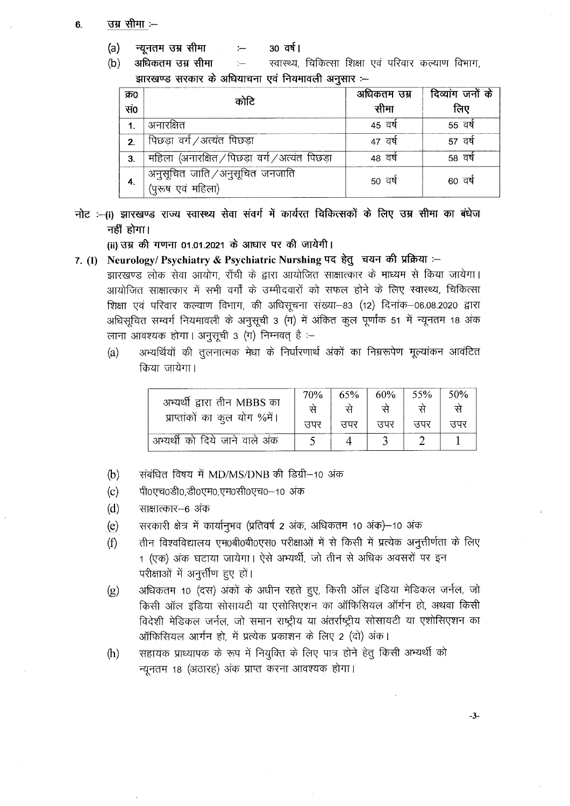## उम्र सीमा :--6.

- $(a)$ न्यूनतम उम्र सीमा 30 वर्ष।  $\leftarrow$
- अधिकतम उम्र सीमा स्वास्थ्य, चिकित्सा शिक्षा एवं परिवार कल्याण विभाग,  $(b)$  $\leftarrow$ झारखण्ड सरकार के अधियाचना एवं नियमावली अनुसार :--

| क्र0         | कोटि                                                | अधिकतम उम्र | दिव्यांग जनों के |  |
|--------------|-----------------------------------------------------|-------------|------------------|--|
| सं०          |                                                     | सीमा        | लिए              |  |
|              | अनारक्षित                                           | 45 वर्ष     | 55 वर्ष          |  |
| $\mathbf{z}$ | पिछड़ा वर्ग /अत्यंत पिछड़ा                          | 47 वर्ष     | 57 वर्ष          |  |
| 3.           | महिला (अनारक्षित / पिछड़ा वर्ग / अत्यंत पिछड़ा      | 48 वर्ष     | 58 वर्ष          |  |
| 4.           | अनुसूचित जाति /अनुसूचित जनजाति<br>(पुरूष एवं महिला) | 50 वर्ष     | 60 वर्ष          |  |

नोट :-(i) झारखण्ड राज्य स्वास्थ्य सेवा संवर्ग में कार्यरत चिकित्सकों के लिए उम्र सीमा का बंधेज नहीं होगा।

(ii) उम्र की गणना 01.01.2021 के आधार पर की जायेगी।

7. (I) Neurology/ Psychiatry & Psychiatric Nurshing पद हेतु चयन की प्रक्रिया :-

झारखण्ड लोक सेवा आयोग, राँची के द्वारा आयोजित साक्षात्कार के माध्यम से किया जायेगा। आयोजित साक्षात्कार में सभी वर्गों के उम्मीदवारों को सफल होने के लिए स्वास्थ्य, चिकित्सा शिक्षा एवं परिवार कल्याण विभाग, की अधिसूचना संख्या-83 (12) दिनांक-06.08.2020 द्वारा अधिसूचित सम्वर्ग नियमावली के अनुसूची 3 (ग) में अंकित कुल पूर्णांक 51 में न्यूनतम 18 अंक लाना आवश्यक होगा। अनुसूची 3 (ग) निम्नवत् है :-

अभ्यर्थियों की तलनात्मक मेधा के निर्धारणार्थ अंकों का निम्नरूपेण मुल्यांकन आवंटित  $(a)$ किया जायेगा।

|                                | 70 <sub>%</sub> | 65%     | 60%   | 55% | 50% |
|--------------------------------|-----------------|---------|-------|-----|-----|
| अभ्यर्थी द्वारा तीन MBBS का    |                 |         |       |     |     |
| प्राप्ताकों का कुल योग %में।   | उपर             | त्त्रपर | त्तपर | सपर | सपर |
| अभ्यर्थी को दिये जाने वाले अंक |                 |         |       |     |     |

- संबंधित विषय में MD/MS/DNB की डिग्री-10 अंक  $(b)$
- पी0एच0डी0.डी0एम0.एम0सी0एच0-10 अंक  $(c)$
- $(d)$ साक्षात्कार–6 अंक
- सरकारी क्षेत्र में कार्यानुभव (प्रतिवर्ष 2 अंक, अधिकतम 10 अंक)-10 अंक  $(e)$
- तीन विश्वविद्यालय एम0बी0बी0एस0 परीक्षाओं में से किसी में प्रत्येक अनुत्तीर्णता के लिए  $(f)$ 1 (एक) अंक घटाया जायेगा। ऐसे अभ्यर्थी, जो तीन से अधिक अवसरों पर इन परीक्षाओं में अनूर्त्तीण हुए हों।
- अधिकतम 10 (दस) अंकों के अधीन रहते हुए, किसी ऑल इंडिया मेडिकल जर्नल, जो  $(g)$ किसी ऑल इंडिया सोसायटी या एसोसिएशन का ऑफिसियल ऑर्गन हो, अथवा किसी विदेशी मेडिकल जर्नल, जो समान राष्ट्रीय या अंतर्राष्ट्रीय सोसायटी या एशोसिएशन का ऑफिसियल आर्गन हो, में प्रत्येक प्रकाशन के लिए 2 (दो) अंक।
- सहायक प्राध्यापक के रूप में नियुक्ति के लिए पात्र होने हेतु किसी अभ्यर्थी को  $(h)$ न्यूनतम 18 (अठारह) अंक प्राप्त करना आवश्यक होगा।

 $-3-$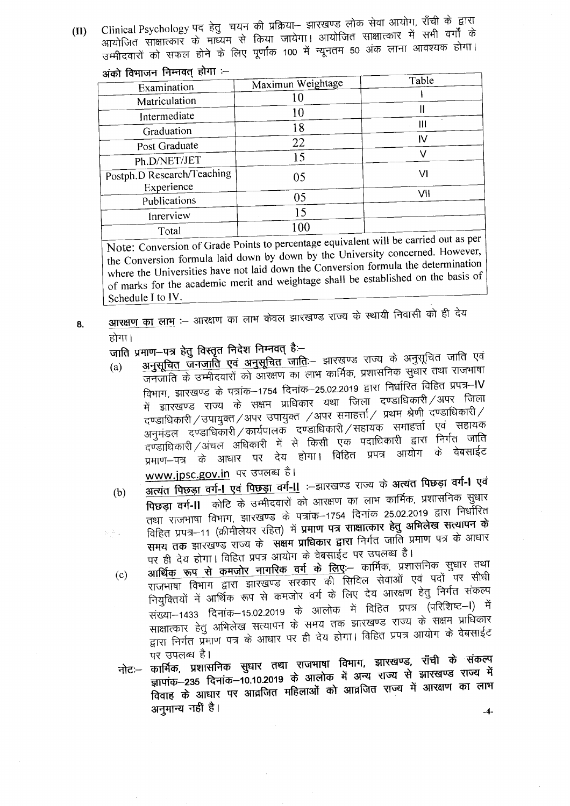Clinical Psychology पद हेतु चयन की प्रक्रिया- झारखण्ड लोक सेवा आयोग, राँची के द्वारा आयोजित साक्षात्कार के माध्यम से किया जायेगा। आयोजित साक्षात्कार में सभी वर्गों के  $(II)$ उम्मीदवारों को सफल होने के लिए पूर्णांक 100 में न्यूनतम 50 अंक लाना आवश्यक होगा। <u>ਾਂਤੀ ਰਿਘਾਰਤ ਜਿਸਰਰ ਬੀਪਾ :--</u>

| age report thank of a      | Maximun Weightage | Table |
|----------------------------|-------------------|-------|
| Examination                |                   |       |
| Matriculation              | 10                |       |
| Intermediate               | 10                | Ш     |
| Graduation                 | 18                | Ш     |
|                            | 22                | IV    |
| Post Graduate              |                   | v     |
| Ph.D/NET/JET               | 15                |       |
| Postph.D Research/Teaching | 05                | V١    |
| Experience                 |                   |       |
| Publications               | 05                | VII   |
| Inrerview                  | 15                |       |
| Total                      | $100\,$           |       |

Note: Conversion of Grade Points to percentage equivalent will be carried out as per the Conversion formula laid down by down by the University concerned. However, where the Universities have not laid down the Conversion formula the determination of marks for the academic merit and weightage shall be established on the basis of Schedule I to IV.

आरक्षण का लाभ :-- आरक्षण का लाभ केवल झारखण्ड राज्य के स्थायी निवासी को ही देय 8. होगा।

जाति प्रमाण-पत्र हेतु विस्तृत निदेश निम्नवत् है:-

- अनुसूचित जनजाति एवं अनुसूचित जाति:- झारखण्ड राज्य के अनुसूचित जाति एवं  $(a)$ जनजाति के उम्मीदवारों को आरक्षण का लाभ कार्मिक, प्रशासनिक सुधार तथा राजभाषा विभाग, झारखण्ड के पत्रांक–1754 दिनांक–25.02.2019 द्वारा निर्धारित विहित प्रपत्र–IV में झारखण्ड राज्य के सक्षम प्राधिकार यथा जिला दण्डाधिकारी ⁄ अपर जिला दण्डाधिकारी / उपायुक्त / अपर उपायुक्त / अपर समाहर्त्ता / प्रथम श्रेणी दण्डाधिकारी / अनुमंडल दण्डाधिकारी ⁄ कार्यपालक दण्डाधिकारी ⁄ सहायक समाहर्त्ता एवं सहायक दण्डाधिकारी / अंचल अधिकारी में से किसी एक पदाधिकारी द्वारा निर्गत जाति प्रमाण-पत्र के आधार पर देय होगा। विहित प्रपत्र आयोग के वेबसाईट www.jpsc.gov.in पर उपलब्ध है।
- अत्यंत पिछड़ा वर्ग-l एवं पिछड़ा वर्ग-ll :- झारखण्ड राज्य के अत्यंत पिछड़ा वर्ग-l एवं  $(b)$ पिछड़ा वर्ग-।। कोटि के उम्मीदवारों को आरक्षण का लाभ कार्मिक, प्रशासनिक सुधार तथा राजभाषा विभाग, झारखण्ड के पत्रांक–1754 दिनांक 25.02.2019 द्वारा निर्धोरित विहित प्रपत्र-11 (क्रीमीलेयर रहित) में प्रमाण पत्र साक्षात्कार हेतु अभिलेख सत्यापन के  $\sqrt{2} \epsilon_{\rm{eff}}$ समय तक झारखण्ड राज्य के संक्षम प्राधिकार द्वारा निर्गत जाति प्रमाण पत्र के आधार पर ही देय होगा। विहित प्रपत्र आयोग के वेबसाईट पर उपलब्ध है।
	- आर्थिक रूप से कमजोर नागरिक वर्ग के लिए:-- कार्मिक, प्रशासनिक सुधार तथा राजभाषा विभाग द्वारा झारखण्ड सरकार की सिविल सेवाओं एवं पदों पर सीधी  $(c)$ नियुक्तियों में आर्थिक रूप से कमजोर वर्ग के लिए देय आरक्षण हेतु निर्गत संकल्प संख्या–1433 दिनांक–15.02.2019 के आलोक में विहित प्रपत्र (परिशिष्ट–1) में साक्षात्कार हेतु अभिलेख सत्यापन के समय तक झारखण्ड राज्य के सक्षम प्राधिकार द्वारा निर्गत प्रमाण पत्र के आधार पर ही देय होगा। विहित प्रपत्र आयोग के वेबसाईट पर उपलब्ध है।
	- नोटः-- कार्मिक, प्रशासनिक सुधार तथा राजमाषा विभाग, झारखण्ड, राँची के संकल्प ज्ञापांक-235 दिनांक-10.10.2019 के आलोक में अन्य राज्य से झारखण्ड राज्य में विवाह के आधार पर आव्रजित महिलाओं को आव्रजित राज्य में आरक्षण का लाभ अनुमान्य नहीं है।

 $-4-$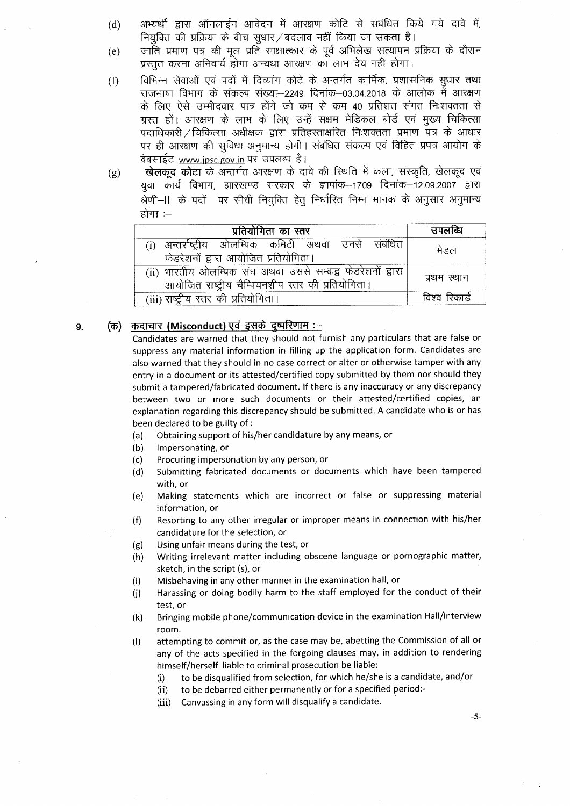- अभ्यर्थी द्वारा ऑनलाईन आवेदन में आरक्षण कोटि से संबंधित किये गये दावे में,  $(d)$ नियुक्ति की प्रक्रिया के बीच सुधार / बदलाव नहीं किया जा सकता है।
- जाँति प्रमाण पत्र की मल प्रति साक्षात्कार के पर्व अभिलेख सत्यापन प्रक्रिया के दौरान  $(e)$ प्रस्तुत करना अनिवार्य होगा अन्यथा आरक्षण का लाभ देय नही होगा।
- विभिन्न सेवाओं एवं पदों में दिव्यांग कोटे के अन्तर्गत कार्मिक, प्रशासनिक सुधार तथा  $(f)$ राजभाषा विभाग के संकल्प संख्या–2249 दिनांक–03.04.2018 के आलोक में आरक्षण के लिए ऐसे उम्मीदवार पात्र होंगे जो कम से कम 40 प्रतिशत संगत निःशक्तता से ग्रस्त हों। आरक्षण के लाभ के लिए उन्हें सक्षम मेडिकल बोर्ड एवं मुख्य चिकित्सा पदाधिकारी / चिकित्सा अधीक्षक द्वारा प्रतिहस्ताक्षरित निःशक्तता प्रमाण पत्र के आधार पर ही आरक्षण की सुविधा अनुमान्य होगी। संबंधित संकल्प एवं विहित प्रपत्र आयोग के वेबसाईट www.jpsc.gov.in पर उपलब्ध है।
- खेलकूद कोटा के अन्तर्गत आरक्षण के दावे की स्थिति में कला, संस्कृति, खेलकूद एवं  $(g)$ युवा कार्य विभाग, झारखण्ड सरकार के ज्ञापांक-1709 दिनांक-12.09.2007 द्वारा श्रेणी–।। के पदों पर सीधी नियुक्ति हेतु निर्धारित निम्न मानक के अनुसार अनुमान्य होगा :—

| प्रतियोगिता का स्तर                                                                                             | उपलब्धि       |
|-----------------------------------------------------------------------------------------------------------------|---------------|
| ्अन्तर्राष्ट्रीय ओलम्पिक कमिटी अथवा उनसे संबंधित<br>फेडरेशनों द्वारा आयोजित प्रतियोगिता।                        | मेडल          |
| (ii) भारतीय ओलम्पिक संघ अथवा उससे सम्बद्ध फेडरेशनों द्वारा<br>आयोजित राष्ट्रीय चैम्पियनशीप स्तर की प्रतियोगिता। | प्रथम स्थान   |
| (iii) राष्ट्रीय स्तर की प्रतियोगिता।                                                                            | विश्व रिकार्ड |

## (क) कदाचार (Misconduct) एवं इसके दुष्परिणाम :-9.

Candidates are warned that they should not furnish any particulars that are false or suppress any material information in filling up the application form. Candidates are also warned that they should in no case correct or alter or otherwise tamper with any entry in a document or its attested/certified copy submitted by them nor should they submit a tampered/fabricated document. If there is any inaccuracy or any discrepancy between two or more such documents or their attested/certified copies, an explanation regarding this discrepancy should be submitted. A candidate who is or has been declared to be guilty of :

- Obtaining support of his/her candidature by any means, or  $(a)$
- $(b)$ Impersonating, or
- Procuring impersonation by any person, or  $(c)$
- Submitting fabricated documents or documents which have been tampered  $(d)$ with, or
- Making statements which are incorrect or false or suppressing material  $(e)$ information, or
- Resorting to any other irregular or improper means in connection with his/her  $(f)$ candidature for the selection, or
- Using unfair means during the test, or  $(g)$
- Writing irrelevant matter including obscene language or pornographic matter,  $(h)$ sketch, in the script (s), or
- $(i)$ Misbehaving in any other manner in the examination hall, or
- Harassing or doing bodily harm to the staff employed for the conduct of their  $(i)$ test, or
- Bringing mobile phone/communication device in the examination Hall/interview  $(k)$ room.
- attempting to commit or, as the case may be, abetting the Commission of all or  $(1)$ any of the acts specified in the forgoing clauses may, in addition to rendering himself/herself liable to criminal prosecution be liable:
	- to be disqualified from selection, for which he/she is a candidate, and/or  $(i)$
	- to be debarred either permanently or for a specified period:- $(ii)$
	- Canvassing in any form will disqualify a candidate.  $(iii)$

 $-5-$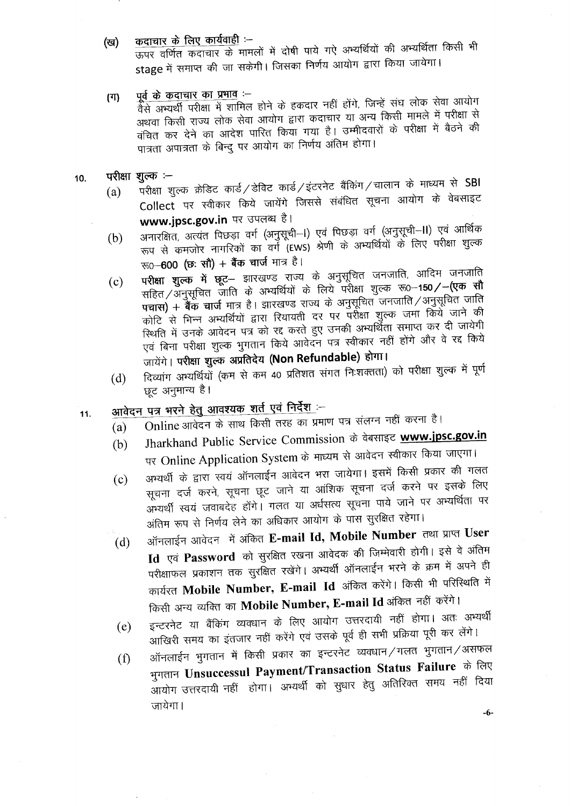कदाचार के लिए कार्यवाही :-(ख)

ऊपर वर्णित कदाचार के मामलों में दोषी पाये गऐ अभ्यर्थियों की अभ्यर्थिता किसी भी stage में समाप्त की जा सकेगी। जिसका निर्णय आयोग द्वारा किया जायेगा।

पूर्व के कदाचार का प्रभाव :- $(T)$ 

रें<br>वैसे अभ्यर्थी परीक्षा में शामिल होने के हकदार नहीं होंगे, जिन्हें संघ लोक सेवा आयोग अथवा किसी राज्य लोक सेवा आयोग द्वारा कदाचार या अन्य किसी मामले में परीक्षा से वंचित कर देने का आदेश पारित किया गया है। उम्मीदवारों के परीक्षा में बैठने की पात्रता अपात्रता के बिन्दु पर आयोग का निर्णय अंतिम होगा।

- परीक्षा शुल्क :- $10.$ 
	- परीक्षा शुल्क क्रेडिट कार्ड/डेविट कार्ड/इंटरनेट बैंकिंग/चालान के माध्यम से SBI (a) Collect पर स्वीकार किये जायेंगे जिससे संबंधित सूचना आयोग के वेबसाइट www.jpsc.gov.in पर उपलब्ध है।
	- अनारक्षित, अत्यंत पिछड़ा वर्ग (अनुसूची–I) एवं पिछड़ा वर्ग (अनुसूची–II) एवं आर्थिक  $(b)$ रूप से कमजोर नागरिकों का वर्ग (EWS) श्रेणी के अभ्यर्थियों के लिए परीक्षा शुल्क रू0–600 (छ: सौ) + बैंक चार्ज मात्र है।
	- प**रीक्षा शुल्क में छूट** झारखण्ड राज्य के अनुसूचित जनजाति, आदिम जनजाति  $(c)$ सहित/अनुसूचित जाति के अभ्यर्थियों के लिये परीक्षा शुल्क रू0-150**/-(एक सौ** पचास) + बैंक चार्ज मात्र है। झारखण्ड राज्य के अनुसूचित जनजाति / अनुसूचित जाति कोटि से भिन्न अभ्यर्थियों द्वारा रियायती दर पर परीक्षा शुल्क जमा किये जाने की स्थिति में उनके आवेदन पत्र को रद्द करते हुए उनकी अभ्यर्थिता समाप्त कर दी जायेगी एवं बिना परीक्षा शुल्क भुगतान किये आवेदन पत्र स्वीकार नहीं होंगे और वे रद्द किये जायेंगे। परीक्षा शुल्क अप्रतिदेय (Non Refundable) होगा।
	- दिव्यांग अभ्यर्थियों (कम से कम 40 प्रतिशत संगत निःशक्तता) को परीक्षा शुल्क में पूर्ण  $(d)$ छूट अनुमान्य है।
	- आ<u>वेदन पत्र भरने हेतु आवश्यक शर्त एवं निर्देश</u> :–  $11.$ 
		- Online आवेदन के साथ किसी तरह का प्रमाण पत्र संलग्न नहीं करना है।  $(a)$
		- Jharkhand Public Service Commission के वेबसाइट www.jpsc.gov.in  $(b)$ पर Online Application System के माध्यम से आवेदन स्वीकार किया जाएगा।
		- अभ्यर्थी के द्वारा स्वयं ऑनलाईन आवेदन भरा जायेगा। इसमें किसी प्रकार की गलत  $(c)$ सूचना दर्ज करने, सूचना छूट जाने या आंशिक सूचना दर्ज करने पर इसके लिए अभ्यर्थी स्वयं जवाबदेह होंगे। गलत या अर्धसत्य सूचना पाये जाने पर अभ्यर्थिता पर अंतिम रूप से निर्णय लेने का अधिकार आयोग के पास सुरक्षित रहेगा।
		- ऑनलाईन आवेदन में अंकित E-mail Id, Mobile Number तथा प्राप्त User  $(d)$ Id एवं Password को सुरक्षित रखना आवेदक की जिम्मेवारी होगी। इसे वे अंतिम परीक्षाफल प्रकाशन तक सुरक्षित रखेंगे। अभ्यर्थी ऑनलाईन भरने के क्रम में अपने ही कार्यरत Mobile Number, E-mail Id अंकित करेंगे। किसी भी परिस्थिति में किसी अन्य व्यक्ति का Mobile Number, E-mail Id अंकित नहीं करेंगे।
		- इन्टरनेट या बैंकिंग व्यवधान के लिए आयोग उत्तरदायी नहीं होगा। अतः अभ्यर्थी  $(e)$ आखिरी समय का इंतजार नहीं करेंगे एवं उसके पूर्व ही सभी प्रक्रिया पूरी कर लेंगे।
		- ऑनलाईन भुगतान में किसी प्रकार का इन्टरनेट व्यवधान/गलत भुगतान/असफल  $(f)$ भुगतान Unsuccessul Payment/Transaction Status Failure के लिए आयोग उत्तरदायी नहीं होगा। अभ्यर्थी को सुधार हेतु अतिरिक्त समय नहीं दिया जायेगा।

 $-6-$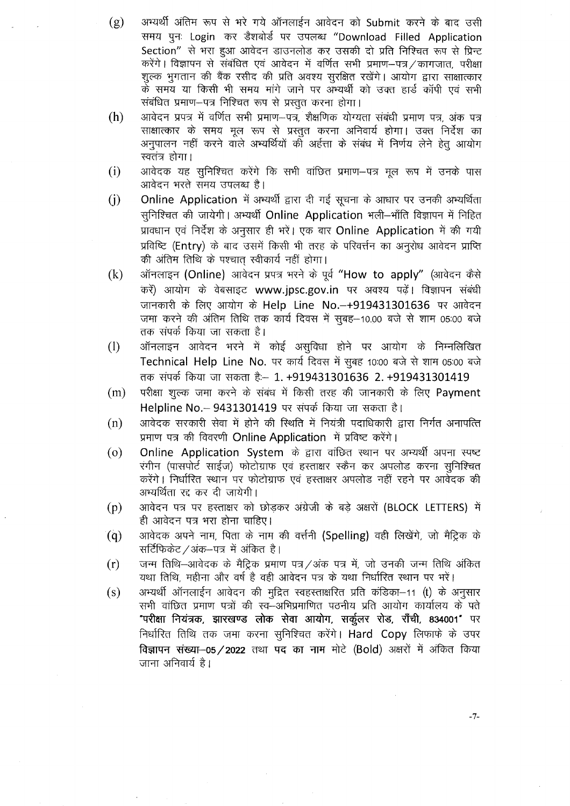अभ्यर्थी अंतिम रूप से भरे गये ऑनलाईन आवेदन को Submit करने के बाद उसी  $(g)$ समय पुनः Login कर डैशबोर्ड पर उपलब्ध "Download Filled Application Section" से भरा हुआ आवेदन डाउनलोड कर उसकी दो प्रति निश्चित रूप से प्रिन्ट करेंगे। विज्ञापन से संबंधित एवं आवेदन में वर्णित सभी प्रमाण-पत्र/कागजात, परीक्षा शुल्क भुगतान की बैंक रसीद की प्रति अवश्य सुरक्षित रखेंगे। आयोग द्वारा साक्षात्कार के समय या किसी भी समय मांगे जाने पर अभ्यर्थी को उक्त हार्ड कॉपी एवं सभी संबंधित प्रमाण-पत्र निश्चित रूप से प्रस्तुत करना होगा।

- आवेदन प्रपत्र में वर्णित सभी प्रमाण--पत्र, शैक्षणिक योग्यता संबंधी प्रमाण पत्र, अंक पत्र  $(h)$ साक्षात्कार के समय मूल रूप से प्रस्तुत करना अनिवार्य होगा। उक्त निर्देश का अनुपालन नहीं करने वाले अभ्यर्थियों की अर्हत्ता के संबंध में निर्णय लेने हेतु आयोग स्वतंत्र होगा।
- आवेदक यह सुनिश्चित करेंगे कि सभी वांछित प्रमाण–पत्र मूल रूप में उनके पास  $(i)$ आवेदन भरते समय उपलब्ध है।
- Online Application में अभ्यर्थी द्वारा दी गई सूचना के आधार पर उनकी अभ्यर्थिता  $(i)$ सुनिश्चित की जायेगी। अभ्यर्थी Online Application भली-भाँति विज्ञापन में निहित प्रावधान एवं निर्देश के अनुसार ही भरें। एक बार Online Application में की गयी प्रविष्टि (Entry) के बाद उसमें किसी भी तरह के परिवर्त्तन का अनुरोध आवेदन प्राप्ति की अंतिम तिथि के पश्चात स्वीकार्य नहीं होगा।
- ऑनलाइन (Online) आवेदन प्रपत्र भरने के पूर्व "How to apply" (आवेदन कैसे  $(k)$ करें) आयोग के वेबसाइट www.jpsc.gov.in पर अवश्य पढें। विज्ञापन संबंधी जानकारी के लिए आयोग के Help Line No.-+919431301636 पर आवेदन जमा करने की अंतिम तिथि तक कार्य दिवस में सुबह–10.00 बजे से शाम 05:00 बजे तक संपर्क किया जा सकता है।
- ऑनलाइन आवेदन भरने में कोई असुविधा होने पर आयोग के निम्नलिखित  $(1)$ Technical Help Line No. पर कार्य दिवस में सुबह 10:00 बजे से शाम 05:00 बजे तक संपर्क किया जा सकता है: - 1. +919431301636 2. +919431301419
- $(m)$ परीक्षा शुल्क जमा करने के संबंध में किसी तरह की जानकारी के लिए Payment Helpline No. - 9431301419 पर संपर्क किया जा सकता है।
- आवेदक सरकारी सेवा में होने की स्थिति में नियंत्री पदाधिकारी द्वारा निर्गत अनापत्ति  $(n)$ प्रमाण पत्र की विवरणी Online Application में प्रविष्ट करेंगे।
- Online Application System के द्वारा वांछित स्थान पर अभ्यर्थी अपना स्पष्ट  $\left($ o $\right)$ रंगीन (पासपोर्ट साईज) फोटोग्राफ एवं हस्ताक्षर स्कैन कर अपलोड करना सुनिश्चित करेंगे। निर्धारित स्थान पर फोटोग्राफ एवं हस्ताक्षर अपलोड नहीं रहने पर आवेदक की अभ्यर्थिता रद्द कर दी जायेगी।
- आवेदन पत्र पर हस्ताक्षर को छोड़कर अंग्रेजी के बड़े अक्षरों (BLOCK LETTERS) में  $(p)$ ही आवेदन पत्र भरा होना चाहिए।
- आवेदक अपने नाम, पिता के नाम की वर्त्तनी (Spelling) वही लिखेंगे, जो मैट्रिक के  $(q)$ सर्टिफिकेट /अंक-पत्र में अंकित है।
- जन्म तिथि–आवेदक के मैटिक प्रमाण पत्र /अंक पत्र में, जो उनकी जन्म तिथि अंकित  $(r)$ यथा तिथि, महीना और वर्ष है वही आवेदन पत्र के यथा निर्धारित स्थान पर भरें।
- अभ्यर्थी ऑनलाईन आवेदन की मुद्रित स्वहस्ताक्षरित प्रति कंडिका-11 (t) के अनुसार  $(s)$ सभी वांछित प्रमाण पत्रों की स्व—अभिप्रमाणित पठनीय प्रति आयोग कार्यालय के पते "परीक्षा नियंत्रक, झारखण्ड लोक सेवा आयोग, सर्कूलर रोड, राँची, 834001" पर निर्धारित तिथि तक जमा करना सुनिश्चित करेंगे। Hard Copy लिफाफे के उपर विज्ञापन संख्या-05/2022 तथा पद का नाम मोटे (Bold) अक्षरों में अंकित किया जाना अनिवार्य है।

 $-7-$